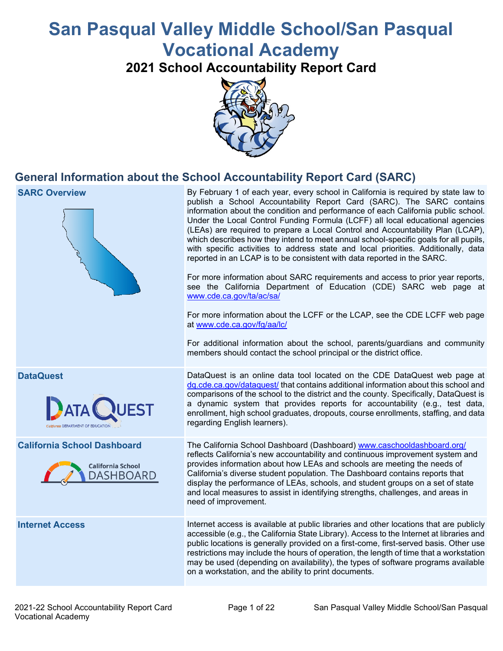# **San Pasqual Valley Middle School/San Pasqual Vocational Academy**

**2021 School Accountability Report Card**



## **General Information about the School Accountability Report Card (SARC)**

| <b>SARC Overview</b>                                                               | By February 1 of each year, every school in California is required by state law to<br>publish a School Accountability Report Card (SARC). The SARC contains<br>information about the condition and performance of each California public school.<br>Under the Local Control Funding Formula (LCFF) all local educational agencies<br>(LEAs) are required to prepare a Local Control and Accountability Plan (LCAP),<br>which describes how they intend to meet annual school-specific goals for all pupils,<br>with specific activities to address state and local priorities. Additionally, data<br>reported in an LCAP is to be consistent with data reported in the SARC.<br>For more information about SARC requirements and access to prior year reports,<br>see the California Department of Education (CDE) SARC web page at<br>www.cde.ca.gov/ta/ac/sa/<br>For more information about the LCFF or the LCAP, see the CDE LCFF web page<br>at www.cde.ca.gov/fg/aa/lc/<br>For additional information about the school, parents/guardians and community<br>members should contact the school principal or the district office. |
|------------------------------------------------------------------------------------|-------------------------------------------------------------------------------------------------------------------------------------------------------------------------------------------------------------------------------------------------------------------------------------------------------------------------------------------------------------------------------------------------------------------------------------------------------------------------------------------------------------------------------------------------------------------------------------------------------------------------------------------------------------------------------------------------------------------------------------------------------------------------------------------------------------------------------------------------------------------------------------------------------------------------------------------------------------------------------------------------------------------------------------------------------------------------------------------------------------------------------------|
| <b>DataQuest</b><br>raia DEPARTMENT OF EDUCATIO                                    | DataQuest is an online data tool located on the CDE DataQuest web page at<br>dq.cde.ca.gov/dataquest/ that contains additional information about this school and<br>comparisons of the school to the district and the county. Specifically, DataQuest is<br>a dynamic system that provides reports for accountability (e.g., test data,<br>enrollment, high school graduates, dropouts, course enrollments, staffing, and data<br>regarding English learners).                                                                                                                                                                                                                                                                                                                                                                                                                                                                                                                                                                                                                                                                      |
| <b>California School Dashboard</b><br><b>California School</b><br><b>DASHBOARD</b> | The California School Dashboard (Dashboard) www.caschooldashboard.org/<br>reflects California's new accountability and continuous improvement system and<br>provides information about how LEAs and schools are meeting the needs of<br>California's diverse student population. The Dashboard contains reports that<br>display the performance of LEAs, schools, and student groups on a set of state<br>and local measures to assist in identifying strengths, challenges, and areas in<br>need of improvement.                                                                                                                                                                                                                                                                                                                                                                                                                                                                                                                                                                                                                   |
| <b>Internet Access</b>                                                             | Internet access is available at public libraries and other locations that are publicly<br>accessible (e.g., the California State Library). Access to the Internet at libraries and<br>public locations is generally provided on a first-come, first-served basis. Other use<br>restrictions may include the hours of operation, the length of time that a workstation<br>may be used (depending on availability), the types of software programs available<br>on a workstation, and the ability to print documents.                                                                                                                                                                                                                                                                                                                                                                                                                                                                                                                                                                                                                 |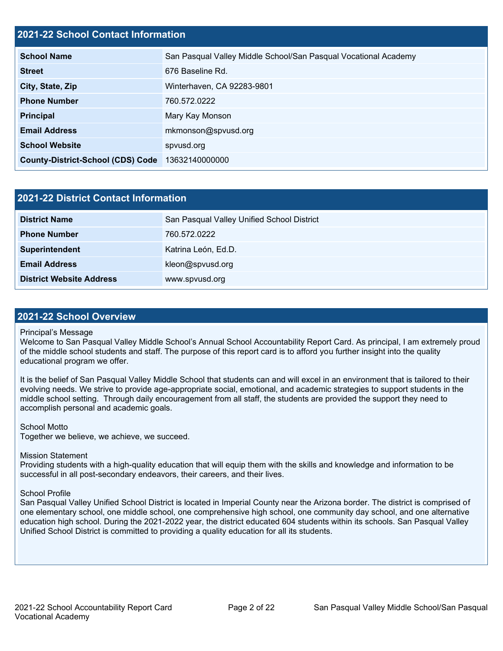#### **2021-22 School Contact Information**

| <b>School Name</b>                       | San Pasqual Valley Middle School/San Pasqual Vocational Academy |
|------------------------------------------|-----------------------------------------------------------------|
| <b>Street</b>                            | 676 Baseline Rd.                                                |
| City, State, Zip                         | Winterhaven, CA 92283-9801                                      |
| <b>Phone Number</b>                      | 760.572.0222                                                    |
| <b>Principal</b>                         | Mary Kay Monson                                                 |
| <b>Email Address</b>                     | mkmonson@spvusd.org                                             |
| <b>School Website</b>                    | spvusd.org                                                      |
| <b>County-District-School (CDS) Code</b> | 13632140000000                                                  |

| 2021-22 District Contact Information |                                            |  |  |  |
|--------------------------------------|--------------------------------------------|--|--|--|
| <b>District Name</b>                 | San Pasqual Valley Unified School District |  |  |  |
| <b>Phone Number</b>                  | 760.572.0222                               |  |  |  |
| Superintendent                       | Katrina León, Ed.D.                        |  |  |  |
| <b>Email Address</b>                 | kleon@spvusd.org                           |  |  |  |
| <b>District Website Address</b>      | www.spvusd.org                             |  |  |  |

#### **2021-22 School Overview**

#### Principal's Message

Welcome to San Pasqual Valley Middle School's Annual School Accountability Report Card. As principal, I am extremely proud of the middle school students and staff. The purpose of this report card is to afford you further insight into the quality educational program we offer.

It is the belief of San Pasqual Valley Middle School that students can and will excel in an environment that is tailored to their evolving needs. We strive to provide age-appropriate social, emotional, and academic strategies to support students in the middle school setting. Through daily encouragement from all staff, the students are provided the support they need to accomplish personal and academic goals.

#### School Motto

Together we believe, we achieve, we succeed.

#### Mission Statement

Providing students with a high-quality education that will equip them with the skills and knowledge and information to be successful in all post-secondary endeavors, their careers, and their lives.

#### School Profile

San Pasqual Valley Unified School District is located in Imperial County near the Arizona border. The district is comprised of one elementary school, one middle school, one comprehensive high school, one community day school, and one alternative education high school. During the 2021-2022 year, the district educated 604 students within its schools. San Pasqual Valley Unified School District is committed to providing a quality education for all its students.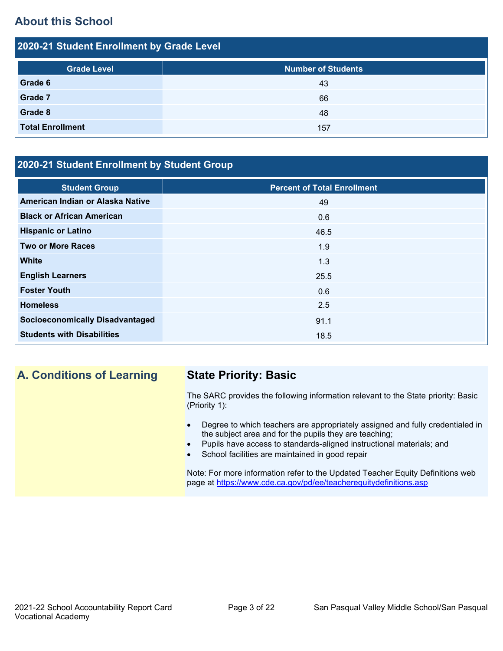## **About this School**

| 2020-21 Student Enrollment by Grade Level |                           |  |  |  |
|-------------------------------------------|---------------------------|--|--|--|
| <b>Grade Level</b>                        | <b>Number of Students</b> |  |  |  |
| Grade 6                                   | 43                        |  |  |  |
| Grade 7                                   | 66                        |  |  |  |
| Grade 8                                   | 48                        |  |  |  |
| <b>Total Enrollment</b>                   | 157                       |  |  |  |

## **2020-21 Student Enrollment by Student Group**

| <b>Student Group</b>                   | <b>Percent of Total Enrollment</b> |
|----------------------------------------|------------------------------------|
| American Indian or Alaska Native       | 49                                 |
| <b>Black or African American</b>       | 0.6                                |
| <b>Hispanic or Latino</b>              | 46.5                               |
| <b>Two or More Races</b>               | 1.9                                |
| <b>White</b>                           | 1.3                                |
| <b>English Learners</b>                | 25.5                               |
| <b>Foster Youth</b>                    | 0.6                                |
| <b>Homeless</b>                        | 2.5                                |
| <b>Socioeconomically Disadvantaged</b> | 91.1                               |
| <b>Students with Disabilities</b>      | 18.5                               |

## **A. Conditions of Learning State Priority: Basic**

The SARC provides the following information relevant to the State priority: Basic (Priority 1):

- Degree to which teachers are appropriately assigned and fully credentialed in the subject area and for the pupils they are teaching;
	- Pupils have access to standards-aligned instructional materials; and
- School facilities are maintained in good repair

Note: For more information refer to the Updated Teacher Equity Definitions web page at<https://www.cde.ca.gov/pd/ee/teacherequitydefinitions.asp>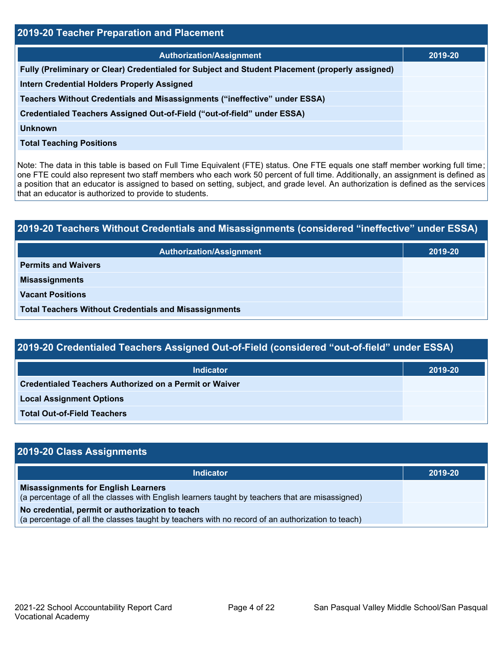| 2019-20 Teacher Preparation and Placement                                                       |         |  |  |  |
|-------------------------------------------------------------------------------------------------|---------|--|--|--|
| <b>Authorization/Assignment</b>                                                                 | 2019-20 |  |  |  |
| Fully (Preliminary or Clear) Credentialed for Subject and Student Placement (properly assigned) |         |  |  |  |
| <b>Intern Credential Holders Properly Assigned</b>                                              |         |  |  |  |
| Teachers Without Credentials and Misassignments ("ineffective" under ESSA)                      |         |  |  |  |
| Credentialed Teachers Assigned Out-of-Field ("out-of-field" under ESSA)                         |         |  |  |  |
| Unknown                                                                                         |         |  |  |  |
| <b>Total Teaching Positions</b>                                                                 |         |  |  |  |
|                                                                                                 |         |  |  |  |

Note: The data in this table is based on Full Time Equivalent (FTE) status. One FTE equals one staff member working full time; one FTE could also represent two staff members who each work 50 percent of full time. Additionally, an assignment is defined as a position that an educator is assigned to based on setting, subject, and grade level. An authorization is defined as the services that an educator is authorized to provide to students.

# **2019-20 Teachers Without Credentials and Misassignments (considered "ineffective" under ESSA) Authorization/Assignment 2019-20 Permits and Waivers Misassignments Vacant Positions Total Teachers Without Credentials and Misassignments**

| 2019-20 Credentialed Teachers Assigned Out-of-Field (considered "out-of-field" under ESSA) |         |  |  |
|--------------------------------------------------------------------------------------------|---------|--|--|
| <b>Indicator</b>                                                                           | 2019-20 |  |  |
| <b>Credentialed Teachers Authorized on a Permit or Waiver</b>                              |         |  |  |
| <b>Local Assignment Options</b>                                                            |         |  |  |
|                                                                                            |         |  |  |

**Total Out-of-Field Teachers**

| 2019-20 Class Assignments                                                                                                                           |         |
|-----------------------------------------------------------------------------------------------------------------------------------------------------|---------|
| <b>Indicator</b>                                                                                                                                    | 2019-20 |
| <b>Misassignments for English Learners</b><br>(a percentage of all the classes with English learners taught by teachers that are misassigned)       |         |
| No credential, permit or authorization to teach<br>(a percentage of all the classes taught by teachers with no record of an authorization to teach) |         |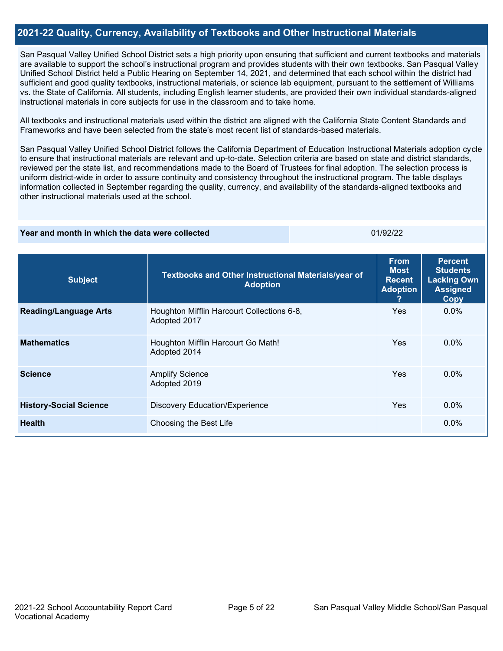#### **2021-22 Quality, Currency, Availability of Textbooks and Other Instructional Materials**

San Pasqual Valley Unified School District sets a high priority upon ensuring that sufficient and current textbooks and materials are available to support the school's instructional program and provides students with their own textbooks. San Pasqual Valley Unified School District held a Public Hearing on September 14, 2021, and determined that each school within the district had sufficient and good quality textbooks, instructional materials, or science lab equipment, pursuant to the settlement of Williams vs. the State of California. All students, including English learner students, are provided their own individual standards-aligned instructional materials in core subjects for use in the classroom and to take home.

All textbooks and instructional materials used within the district are aligned with the California State Content Standards and Frameworks and have been selected from the state's most recent list of standards-based materials.

San Pasqual Valley Unified School District follows the California Department of Education Instructional Materials adoption cycle to ensure that instructional materials are relevant and up-to-date. Selection criteria are based on state and district standards, reviewed per the state list, and recommendations made to the Board of Trustees for final adoption. The selection process is uniform district-wide in order to assure continuity and consistency throughout the instructional program. The table displays information collected in September regarding the quality, currency, and availability of the standards-aligned textbooks and other instructional materials used at the school.

#### **Year and month in which the data were collected Contract Contract Contract Contract Contract Contract Contract Contract Contract Contract Contract Contract Contract Contract Contract Contract Contract Contract Contract Co**

| <b>Subject</b>                | Textbooks and Other Instructional Materials/year of<br><b>Adoption</b> | <b>From</b><br><b>Most</b><br><b>Recent</b><br><b>Adoption</b><br>7 | <b>Percent</b><br><b>Students</b><br><b>Lacking Own</b><br><b>Assigned</b><br>Copy |
|-------------------------------|------------------------------------------------------------------------|---------------------------------------------------------------------|------------------------------------------------------------------------------------|
| <b>Reading/Language Arts</b>  | Houghton Mifflin Harcourt Collections 6-8,<br>Adopted 2017             | Yes.                                                                | $0.0\%$                                                                            |
| <b>Mathematics</b>            | Houghton Mifflin Harcourt Go Math!<br>Adopted 2014                     | Yes.                                                                | $0.0\%$                                                                            |
| <b>Science</b>                | <b>Amplify Science</b><br>Adopted 2019                                 | <b>Yes</b>                                                          | $0.0\%$                                                                            |
| <b>History-Social Science</b> | <b>Discovery Education/Experience</b>                                  | <b>Yes</b>                                                          | $0.0\%$                                                                            |
| <b>Health</b>                 | Choosing the Best Life                                                 |                                                                     | $0.0\%$                                                                            |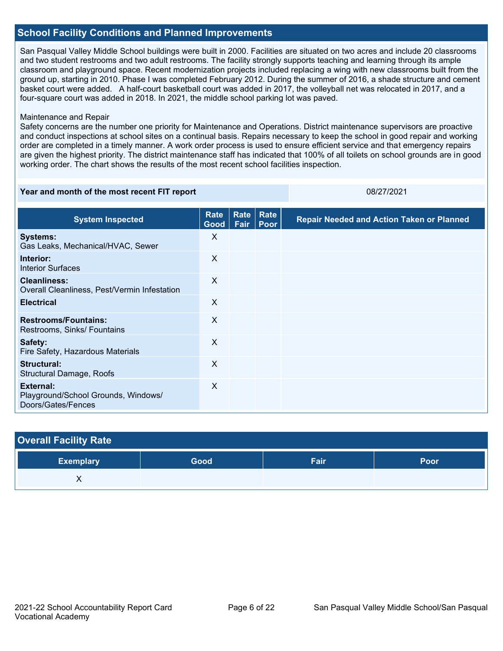#### **School Facility Conditions and Planned Improvements**

San Pasqual Valley Middle School buildings were built in 2000. Facilities are situated on two acres and include 20 classrooms and two student restrooms and two adult restrooms. The facility strongly supports teaching and learning through its ample classroom and playground space. Recent modernization projects included replacing a wing with new classrooms built from the ground up, starting in 2010. Phase I was completed February 2012. During the summer of 2016, a shade structure and cement basket court were added. A half-court basketball court was added in 2017, the volleyball net was relocated in 2017, and a four-square court was added in 2018. In 2021, the middle school parking lot was paved.

#### Maintenance and Repair

Safety concerns are the number one priority for Maintenance and Operations. District maintenance supervisors are proactive and conduct inspections at school sites on a continual basis. Repairs necessary to keep the school in good repair and working order are completed in a timely manner. A work order process is used to ensure efficient service and that emergency repairs are given the highest priority. The district maintenance staff has indicated that 100% of all toilets on school grounds are in good working order. The chart shows the results of the most recent school facilities inspection.

#### **Year and month of the most recent FIT report** 08/27/2021

| <b>System Inspected</b>                                                | Rate<br>Good | Rate<br>Fair | Rate<br>Poor | <b>Repair Needed and Action Taken or Planned</b> |
|------------------------------------------------------------------------|--------------|--------------|--------------|--------------------------------------------------|
| <b>Systems:</b><br>Gas Leaks, Mechanical/HVAC, Sewer                   | X            |              |              |                                                  |
| Interior:<br><b>Interior Surfaces</b>                                  | $\sf X$      |              |              |                                                  |
| <b>Cleanliness:</b><br>Overall Cleanliness, Pest/Vermin Infestation    | $\times$     |              |              |                                                  |
| <b>Electrical</b>                                                      | X            |              |              |                                                  |
| <b>Restrooms/Fountains:</b><br>Restrooms, Sinks/ Fountains             | $\sf X$      |              |              |                                                  |
| Safety:<br>Fire Safety, Hazardous Materials                            | $\times$     |              |              |                                                  |
| Structural:<br>Structural Damage, Roofs                                | $\times$     |              |              |                                                  |
| External:<br>Playground/School Grounds, Windows/<br>Doors/Gates/Fences | X            |              |              |                                                  |

| <b>Overall Facility Rate</b> |      |      |      |  |  |  |
|------------------------------|------|------|------|--|--|--|
| <b>Exemplary</b>             | Good | Fair | Poor |  |  |  |
|                              |      |      |      |  |  |  |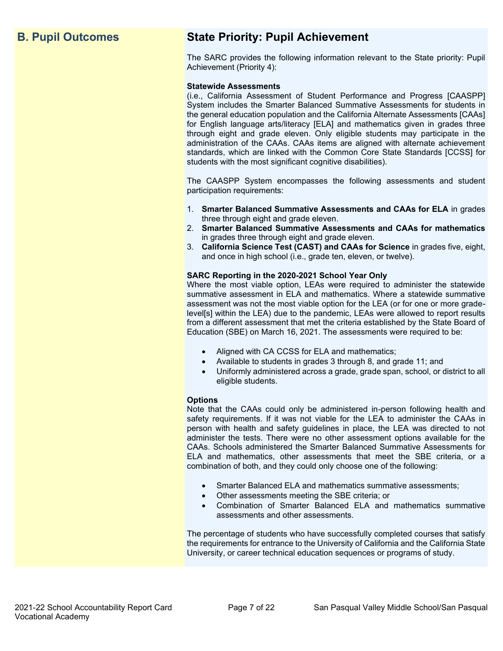## **B. Pupil Outcomes State Priority: Pupil Achievement**

The SARC provides the following information relevant to the State priority: Pupil Achievement (Priority 4):

#### **Statewide Assessments**

(i.e., California Assessment of Student Performance and Progress [CAASPP] System includes the Smarter Balanced Summative Assessments for students in the general education population and the California Alternate Assessments [CAAs] for English language arts/literacy [ELA] and mathematics given in grades three through eight and grade eleven. Only eligible students may participate in the administration of the CAAs. CAAs items are aligned with alternate achievement standards, which are linked with the Common Core State Standards [CCSS] for students with the most significant cognitive disabilities).

The CAASPP System encompasses the following assessments and student participation requirements:

- 1. **Smarter Balanced Summative Assessments and CAAs for ELA** in grades three through eight and grade eleven.
- 2. **Smarter Balanced Summative Assessments and CAAs for mathematics** in grades three through eight and grade eleven.
- 3. **California Science Test (CAST) and CAAs for Science** in grades five, eight, and once in high school (i.e., grade ten, eleven, or twelve).

#### **SARC Reporting in the 2020-2021 School Year Only**

Where the most viable option, LEAs were required to administer the statewide summative assessment in ELA and mathematics. Where a statewide summative assessment was not the most viable option for the LEA (or for one or more gradelevel[s] within the LEA) due to the pandemic, LEAs were allowed to report results from a different assessment that met the criteria established by the State Board of Education (SBE) on March 16, 2021. The assessments were required to be:

- Aligned with CA CCSS for ELA and mathematics;
- Available to students in grades 3 through 8, and grade 11; and
- Uniformly administered across a grade, grade span, school, or district to all eligible students.

#### **Options**

Note that the CAAs could only be administered in-person following health and safety requirements. If it was not viable for the LEA to administer the CAAs in person with health and safety guidelines in place, the LEA was directed to not administer the tests. There were no other assessment options available for the CAAs. Schools administered the Smarter Balanced Summative Assessments for ELA and mathematics, other assessments that meet the SBE criteria, or a combination of both, and they could only choose one of the following:

- Smarter Balanced ELA and mathematics summative assessments;
- Other assessments meeting the SBE criteria; or
- Combination of Smarter Balanced ELA and mathematics summative assessments and other assessments.

The percentage of students who have successfully completed courses that satisfy the requirements for entrance to the University of California and the California State University, or career technical education sequences or programs of study.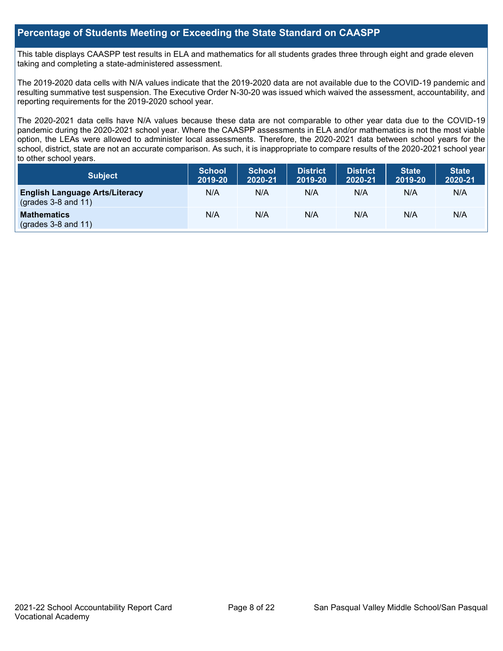#### **Percentage of Students Meeting or Exceeding the State Standard on CAASPP**

This table displays CAASPP test results in ELA and mathematics for all students grades three through eight and grade eleven taking and completing a state-administered assessment.

The 2019-2020 data cells with N/A values indicate that the 2019-2020 data are not available due to the COVID-19 pandemic and resulting summative test suspension. The Executive Order N-30-20 was issued which waived the assessment, accountability, and reporting requirements for the 2019-2020 school year.

The 2020-2021 data cells have N/A values because these data are not comparable to other year data due to the COVID-19 pandemic during the 2020-2021 school year. Where the CAASPP assessments in ELA and/or mathematics is not the most viable option, the LEAs were allowed to administer local assessments. Therefore, the 2020-2021 data between school years for the school, district, state are not an accurate comparison. As such, it is inappropriate to compare results of the 2020-2021 school year to other school years.

| <b>Subject</b>                                                 | <b>School</b><br>2019-20 | <b>School</b><br>2020-21 | District<br>2019-20 | <b>District</b><br>2020-21 | <b>State</b><br>2019-20 | <b>State</b><br>2020-21 |
|----------------------------------------------------------------|--------------------------|--------------------------|---------------------|----------------------------|-------------------------|-------------------------|
| <b>English Language Arts/Literacy</b><br>$(grades 3-8 and 11)$ | N/A                      | N/A                      | N/A                 | N/A                        | N/A                     | N/A                     |
| <b>Mathematics</b><br>$(grades 3-8 and 11)$                    | N/A                      | N/A                      | N/A                 | N/A                        | N/A                     | N/A                     |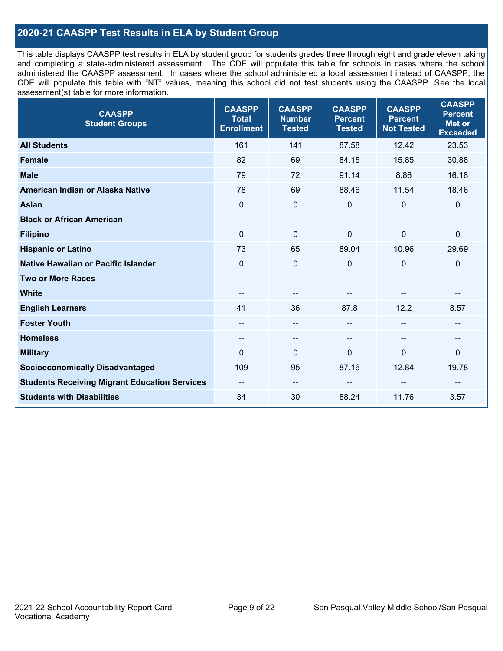### **2020-21 CAASPP Test Results in ELA by Student Group**

This table displays CAASPP test results in ELA by student group for students grades three through eight and grade eleven taking and completing a state-administered assessment. The CDE will populate this table for schools in cases where the school administered the CAASPP assessment. In cases where the school administered a local assessment instead of CAASPP, the CDE will populate this table with "NT" values, meaning this school did not test students using the CAASPP. See the local assessment(s) table for more information.

| <b>CAASPP</b><br><b>Student Groups</b>               | <b>CAASPP</b><br><b>Total</b><br><b>Enrollment</b> | <b>CAASPP</b><br><b>Number</b><br><b>Tested</b> | <b>CAASPP</b><br><b>Percent</b><br><b>Tested</b> | <b>CAASPP</b><br><b>Percent</b><br><b>Not Tested</b> | <b>CAASPP</b><br><b>Percent</b><br><b>Met or</b><br><b>Exceeded</b> |
|------------------------------------------------------|----------------------------------------------------|-------------------------------------------------|--------------------------------------------------|------------------------------------------------------|---------------------------------------------------------------------|
| <b>All Students</b>                                  | 161                                                | 141                                             | 87.58                                            | 12.42                                                | 23.53                                                               |
| <b>Female</b>                                        | 82                                                 | 69                                              | 84.15                                            | 15.85                                                | 30.88                                                               |
| <b>Male</b>                                          | 79                                                 | 72                                              | 91.14                                            | 8.86                                                 | 16.18                                                               |
| American Indian or Alaska Native                     | 78                                                 | 69                                              | 88.46                                            | 11.54                                                | 18.46                                                               |
| <b>Asian</b>                                         | $\overline{0}$                                     | $\mathbf 0$                                     | $\mathbf 0$                                      | $\Omega$                                             | $\mathbf 0$                                                         |
| <b>Black or African American</b>                     | $\qquad \qquad -$                                  | --                                              | --                                               | $\sim$                                               | --                                                                  |
| <b>Filipino</b>                                      | $\Omega$                                           | $\Omega$                                        | $\mathbf{0}$                                     | $\Omega$                                             | $\mathbf{0}$                                                        |
| <b>Hispanic or Latino</b>                            | 73                                                 | 65                                              | 89.04                                            | 10.96                                                | 29.69                                                               |
| Native Hawaiian or Pacific Islander                  | $\mathbf 0$                                        | $\mathbf 0$                                     | 0                                                | $\mathbf 0$                                          | $\mathbf 0$                                                         |
| <b>Two or More Races</b>                             | --                                                 | --                                              | --                                               | --                                                   | --                                                                  |
| <b>White</b>                                         | --                                                 | --                                              | --                                               | --                                                   | --                                                                  |
| <b>English Learners</b>                              | 41                                                 | 36                                              | 87.8                                             | 12.2                                                 | 8.57                                                                |
| <b>Foster Youth</b>                                  | $\qquad \qquad -$                                  | $-$                                             | --                                               | $\overline{a}$                                       | --                                                                  |
| <b>Homeless</b>                                      | --                                                 | --                                              | --                                               | --                                                   | --                                                                  |
| <b>Military</b>                                      | $\Omega$                                           | 0                                               | $\Omega$                                         | 0                                                    | 0                                                                   |
| <b>Socioeconomically Disadvantaged</b>               | 109                                                | 95                                              | 87.16                                            | 12.84                                                | 19.78                                                               |
| <b>Students Receiving Migrant Education Services</b> | --                                                 | --                                              |                                                  |                                                      |                                                                     |
| <b>Students with Disabilities</b>                    | 34                                                 | 30                                              | 88.24                                            | 11.76                                                | 3.57                                                                |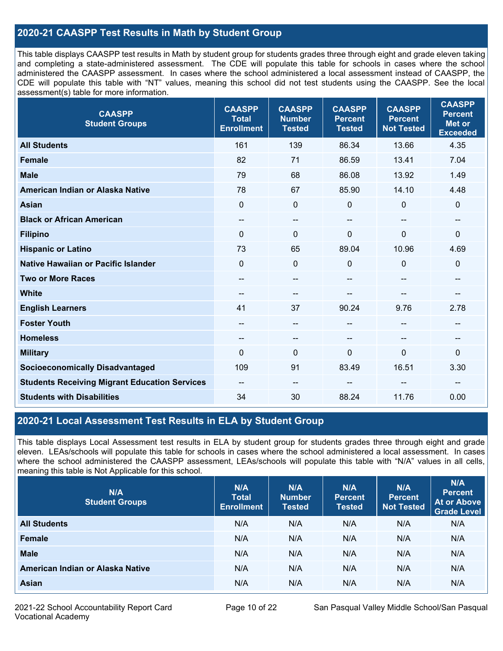### **2020-21 CAASPP Test Results in Math by Student Group**

This table displays CAASPP test results in Math by student group for students grades three through eight and grade eleven taking and completing a state-administered assessment. The CDE will populate this table for schools in cases where the school administered the CAASPP assessment. In cases where the school administered a local assessment instead of CAASPP, the CDE will populate this table with "NT" values, meaning this school did not test students using the CAASPP. See the local assessment(s) table for more information.

| <b>CAASPP</b><br><b>Student Groups</b>               | <b>CAASPP</b><br><b>Total</b><br><b>Enrollment</b> | <b>CAASPP</b><br><b>Number</b><br><b>Tested</b> | <b>CAASPP</b><br><b>Percent</b><br><b>Tested</b> | <b>CAASPP</b><br><b>Percent</b><br><b>Not Tested</b> | <b>CAASPP</b><br><b>Percent</b><br><b>Met or</b><br><b>Exceeded</b> |
|------------------------------------------------------|----------------------------------------------------|-------------------------------------------------|--------------------------------------------------|------------------------------------------------------|---------------------------------------------------------------------|
| <b>All Students</b>                                  | 161                                                | 139                                             | 86.34                                            | 13.66                                                | 4.35                                                                |
| <b>Female</b>                                        | 82                                                 | 71                                              | 86.59                                            | 13.41                                                | 7.04                                                                |
| <b>Male</b>                                          | 79                                                 | 68                                              | 86.08                                            | 13.92                                                | 1.49                                                                |
| American Indian or Alaska Native                     | 78                                                 | 67                                              | 85.90                                            | 14.10                                                | 4.48                                                                |
| <b>Asian</b>                                         | $\mathbf 0$                                        | $\pmb{0}$                                       | 0                                                | 0                                                    | $\pmb{0}$                                                           |
| <b>Black or African American</b>                     | $-$                                                | $\qquad \qquad -$                               | $- -$                                            | $\sim$                                               | $\qquad \qquad -$                                                   |
| <b>Filipino</b>                                      | $\mathbf{0}$                                       | $\mathbf{0}$                                    | $\Omega$                                         | $\Omega$                                             | $\mathbf 0$                                                         |
| <b>Hispanic or Latino</b>                            | 73                                                 | 65                                              | 89.04                                            | 10.96                                                | 4.69                                                                |
| Native Hawaiian or Pacific Islander                  | $\mathbf{0}$                                       | $\mathbf 0$                                     | 0                                                | $\mathbf 0$                                          | $\mathbf 0$                                                         |
| <b>Two or More Races</b>                             | $\qquad \qquad -$                                  | $\qquad \qquad -$                               | $-$                                              | $\overline{\phantom{a}}$                             | $\overline{\phantom{a}}$                                            |
| <b>White</b>                                         | --                                                 | --                                              |                                                  |                                                      | --                                                                  |
| <b>English Learners</b>                              | 41                                                 | 37                                              | 90.24                                            | 9.76                                                 | 2.78                                                                |
| <b>Foster Youth</b>                                  | --                                                 | --                                              | --                                               |                                                      | --                                                                  |
| <b>Homeless</b>                                      | --                                                 | $\qquad \qquad -$                               | --                                               |                                                      | --                                                                  |
| <b>Military</b>                                      | $\Omega$                                           | $\mathbf 0$                                     | $\Omega$                                         | $\Omega$                                             | $\mathbf 0$                                                         |
| <b>Socioeconomically Disadvantaged</b>               | 109                                                | 91                                              | 83.49                                            | 16.51                                                | 3.30                                                                |
| <b>Students Receiving Migrant Education Services</b> |                                                    | --                                              |                                                  |                                                      | --                                                                  |
| <b>Students with Disabilities</b>                    | 34                                                 | 30                                              | 88.24                                            | 11.76                                                | 0.00                                                                |

### **2020-21 Local Assessment Test Results in ELA by Student Group**

This table displays Local Assessment test results in ELA by student group for students grades three through eight and grade eleven. LEAs/schools will populate this table for schools in cases where the school administered a local assessment. In cases where the school administered the CAASPP assessment, LEAs/schools will populate this table with "N/A" values in all cells, meaning this table is Not Applicable for this school.

| N/A<br><b>Student Groups</b>     | N/A<br><b>Total</b><br><b>Enrollment</b> | N/A<br><b>Number</b><br><b>Tested</b> | N/A<br><b>Percent</b><br><b>Tested</b> | N/A<br><b>Percent</b><br><b>Not Tested</b> | N/A<br>Percent<br><b>At or Above</b><br><b>Grade Level</b> |
|----------------------------------|------------------------------------------|---------------------------------------|----------------------------------------|--------------------------------------------|------------------------------------------------------------|
| <b>All Students</b>              | N/A                                      | N/A                                   | N/A                                    | N/A                                        | N/A                                                        |
| Female                           | N/A                                      | N/A                                   | N/A                                    | N/A                                        | N/A                                                        |
| <b>Male</b>                      | N/A                                      | N/A                                   | N/A                                    | N/A                                        | N/A                                                        |
| American Indian or Alaska Native | N/A                                      | N/A                                   | N/A                                    | N/A                                        | N/A                                                        |
| Asian                            | N/A                                      | N/A                                   | N/A                                    | N/A                                        | N/A                                                        |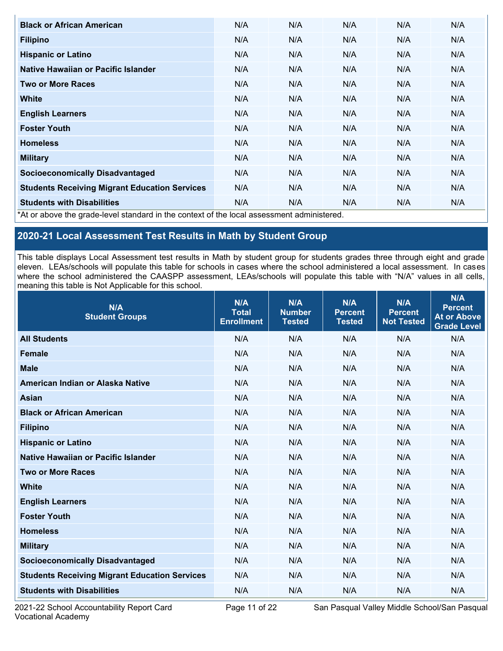| <b>Black or African American</b>                                                                                                     | N/A | N/A                                          | N/A | N/A | N/A |
|--------------------------------------------------------------------------------------------------------------------------------------|-----|----------------------------------------------|-----|-----|-----|
| <b>Filipino</b>                                                                                                                      | N/A | N/A                                          | N/A | N/A | N/A |
| <b>Hispanic or Latino</b>                                                                                                            | N/A | N/A                                          | N/A | N/A | N/A |
| Native Hawaiian or Pacific Islander                                                                                                  | N/A | N/A                                          | N/A | N/A | N/A |
| <b>Two or More Races</b>                                                                                                             | N/A | N/A                                          | N/A | N/A | N/A |
| <b>White</b>                                                                                                                         | N/A | N/A                                          | N/A | N/A | N/A |
| <b>English Learners</b>                                                                                                              | N/A | N/A                                          | N/A | N/A | N/A |
| <b>Foster Youth</b>                                                                                                                  | N/A | N/A                                          | N/A | N/A | N/A |
| <b>Homeless</b>                                                                                                                      | N/A | N/A                                          | N/A | N/A | N/A |
| <b>Military</b>                                                                                                                      | N/A | N/A                                          | N/A | N/A | N/A |
| <b>Socioeconomically Disadvantaged</b>                                                                                               | N/A | N/A                                          | N/A | N/A | N/A |
| <b>Students Receiving Migrant Education Services</b>                                                                                 | N/A | N/A                                          | N/A | N/A | N/A |
| <b>Students with Disabilities</b><br>ومستحدث والمتحا والملائب المتحاوية والمناطب والمستلم المتحار والمحسن والمنحول والمناطر والمتحار | N/A | N/A<br>المتحدث والمستحدث والمتحاوية والمنافذ | N/A | N/A | N/A |

\*At or above the grade-level standard in the context of the local assessment administered.

## **2020-21 Local Assessment Test Results in Math by Student Group**

This table displays Local Assessment test results in Math by student group for students grades three through eight and grade eleven. LEAs/schools will populate this table for schools in cases where the school administered a local assessment. In cases where the school administered the CAASPP assessment, LEAs/schools will populate this table with "N/A" values in all cells, meaning this table is Not Applicable for this school.

| N/A<br><b>Student Groups</b>                         | N/A<br><b>Total</b><br><b>Enrollment</b> | N/A<br><b>Number</b><br><b>Tested</b> | N/A<br><b>Percent</b><br><b>Tested</b> | N/A<br><b>Percent</b><br><b>Not Tested</b> | N/A<br><b>Percent</b><br><b>At or Above</b><br><b>Grade Level</b> |
|------------------------------------------------------|------------------------------------------|---------------------------------------|----------------------------------------|--------------------------------------------|-------------------------------------------------------------------|
| <b>All Students</b>                                  | N/A                                      | N/A                                   | N/A                                    | N/A                                        | N/A                                                               |
| <b>Female</b>                                        | N/A                                      | N/A                                   | N/A                                    | N/A                                        | N/A                                                               |
| <b>Male</b>                                          | N/A                                      | N/A                                   | N/A                                    | N/A                                        | N/A                                                               |
| American Indian or Alaska Native                     | N/A                                      | N/A                                   | N/A                                    | N/A                                        | N/A                                                               |
| <b>Asian</b>                                         | N/A                                      | N/A                                   | N/A                                    | N/A                                        | N/A                                                               |
| <b>Black or African American</b>                     | N/A                                      | N/A                                   | N/A                                    | N/A                                        | N/A                                                               |
| <b>Filipino</b>                                      | N/A                                      | N/A                                   | N/A                                    | N/A                                        | N/A                                                               |
| <b>Hispanic or Latino</b>                            | N/A                                      | N/A                                   | N/A                                    | N/A                                        | N/A                                                               |
| Native Hawaiian or Pacific Islander                  | N/A                                      | N/A                                   | N/A                                    | N/A                                        | N/A                                                               |
| <b>Two or More Races</b>                             | N/A                                      | N/A                                   | N/A                                    | N/A                                        | N/A                                                               |
| <b>White</b>                                         | N/A                                      | N/A                                   | N/A                                    | N/A                                        | N/A                                                               |
| <b>English Learners</b>                              | N/A                                      | N/A                                   | N/A                                    | N/A                                        | N/A                                                               |
| <b>Foster Youth</b>                                  | N/A                                      | N/A                                   | N/A                                    | N/A                                        | N/A                                                               |
| <b>Homeless</b>                                      | N/A                                      | N/A                                   | N/A                                    | N/A                                        | N/A                                                               |
| <b>Military</b>                                      | N/A                                      | N/A                                   | N/A                                    | N/A                                        | N/A                                                               |
| <b>Socioeconomically Disadvantaged</b>               | N/A                                      | N/A                                   | N/A                                    | N/A                                        | N/A                                                               |
| <b>Students Receiving Migrant Education Services</b> | N/A                                      | N/A                                   | N/A                                    | N/A                                        | N/A                                                               |
| <b>Students with Disabilities</b>                    | N/A                                      | N/A                                   | N/A                                    | N/A                                        | N/A                                                               |

2021-22 School Accountability Report Card **Page 11 of 22** San Pasqual Valley Middle School/San Pasqual Valley Middle School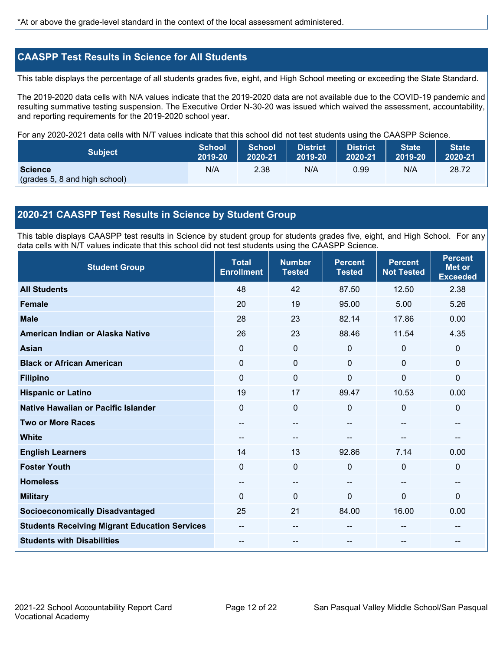#### **CAASPP Test Results in Science for All Students**

This table displays the percentage of all students grades five, eight, and High School meeting or exceeding the State Standard.

The 2019-2020 data cells with N/A values indicate that the 2019-2020 data are not available due to the COVID-19 pandemic and resulting summative testing suspension. The Executive Order N-30-20 was issued which waived the assessment, accountability, and reporting requirements for the 2019-2020 school year.

For any 2020-2021 data cells with N/T values indicate that this school did not test students using the CAASPP Science.

| <b>Subject</b>                                  | School  | <b>School</b> | <b>District</b> | District | <b>State</b> | <b>State</b> |
|-------------------------------------------------|---------|---------------|-----------------|----------|--------------|--------------|
|                                                 | 2019-20 | 2020-21       | 2019-20         | 2020-21  | 2019-20      | 2020-21      |
| <b>Science</b><br>(grades 5, 8 and high school) | N/A     | 2.38          | N/A             | 0.99     | N/A          | 28.72        |

#### **2020-21 CAASPP Test Results in Science by Student Group**

This table displays CAASPP test results in Science by student group for students grades five, eight, and High School. For any data cells with N/T values indicate that this school did not test students using the CAASPP Science.

| <b>Student Group</b>                                 | <b>Total</b><br><b>Enrollment</b> | <b>Number</b><br><b>Tested</b> | <b>Percent</b><br><b>Tested</b> | <b>Percent</b><br><b>Not Tested</b> | <b>Percent</b><br><b>Met or</b><br><b>Exceeded</b> |
|------------------------------------------------------|-----------------------------------|--------------------------------|---------------------------------|-------------------------------------|----------------------------------------------------|
| <b>All Students</b>                                  | 48                                | 42                             | 87.50                           | 12.50                               | 2.38                                               |
| <b>Female</b>                                        | 20                                | 19                             | 95.00                           | 5.00                                | 5.26                                               |
| <b>Male</b>                                          | 28                                | 23                             | 82.14                           | 17.86                               | 0.00                                               |
| American Indian or Alaska Native                     | 26                                | 23                             | 88.46                           | 11.54                               | 4.35                                               |
| <b>Asian</b>                                         | 0                                 | $\mathbf 0$                    | $\mathbf 0$                     | $\mathbf 0$                         | $\mathbf 0$                                        |
| <b>Black or African American</b>                     | 0                                 | $\mathbf 0$                    | $\mathbf 0$                     | $\mathbf 0$                         | $\mathbf 0$                                        |
| <b>Filipino</b>                                      | 0                                 | 0                              | 0                               | 0                                   | $\mathbf 0$                                        |
| <b>Hispanic or Latino</b>                            | 19                                | 17                             | 89.47                           | 10.53                               | 0.00                                               |
| <b>Native Hawaiian or Pacific Islander</b>           | 0                                 | $\mathbf 0$                    | 0                               | $\mathbf 0$                         | $\mathbf 0$                                        |
| <b>Two or More Races</b>                             | --                                | $- -$                          |                                 | --                                  | --                                                 |
| <b>White</b>                                         | --                                | --                             | --                              | --                                  | --                                                 |
| <b>English Learners</b>                              | 14                                | 13                             | 92.86                           | 7.14                                | 0.00                                               |
| <b>Foster Youth</b>                                  | 0                                 | $\pmb{0}$                      | $\mathbf 0$                     | $\mathbf 0$                         | $\mathbf 0$                                        |
| <b>Homeless</b>                                      | --                                | --                             |                                 | --                                  | --                                                 |
| <b>Military</b>                                      | $\Omega$                          | 0                              | $\Omega$                        | $\mathbf{0}$                        | 0                                                  |
| <b>Socioeconomically Disadvantaged</b>               | 25                                | 21                             | 84.00                           | 16.00                               | 0.00                                               |
| <b>Students Receiving Migrant Education Services</b> |                                   | --                             |                                 | --                                  |                                                    |
| <b>Students with Disabilities</b>                    |                                   |                                |                                 |                                     |                                                    |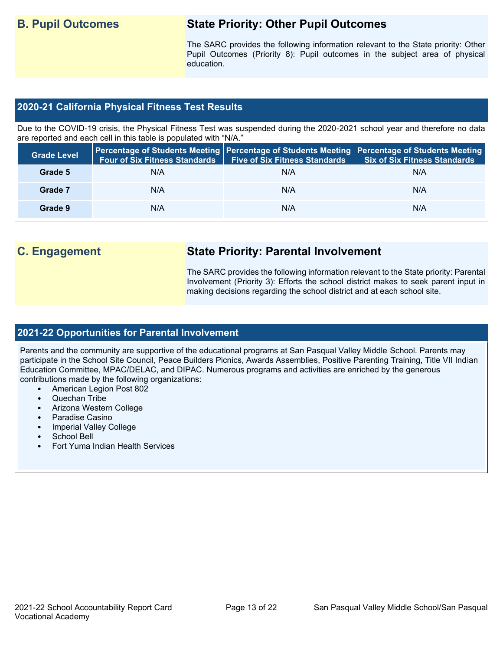## **B. Pupil Outcomes State Priority: Other Pupil Outcomes**

The SARC provides the following information relevant to the State priority: Other Pupil Outcomes (Priority 8): Pupil outcomes in the subject area of physical education.

#### **2020-21 California Physical Fitness Test Results**

Due to the COVID-19 crisis, the Physical Fitness Test was suspended during the 2020-2021 school year and therefore no data are reported and each cell in this table is populated with "N/A."

| <b>Grade Level</b> | <b>Four of Six Fitness Standards</b> | <b>Five of Six Fitness Standards</b> | Percentage of Students Meeting   Percentage of Students Meeting   Percentage of Students Meeting  <br><b>Six of Six Fitness Standards</b> |
|--------------------|--------------------------------------|--------------------------------------|-------------------------------------------------------------------------------------------------------------------------------------------|
| Grade 5            | N/A                                  | N/A                                  | N/A                                                                                                                                       |
| Grade 7            | N/A                                  | N/A                                  | N/A                                                                                                                                       |
| Grade 9            | N/A                                  | N/A                                  | N/A                                                                                                                                       |

## **C. Engagement State Priority: Parental Involvement**

The SARC provides the following information relevant to the State priority: Parental Involvement (Priority 3): Efforts the school district makes to seek parent input in making decisions regarding the school district and at each school site.

#### **2021-22 Opportunities for Parental Involvement**

Parents and the community are supportive of the educational programs at San Pasqual Valley Middle School. Parents may participate in the School Site Council, Peace Builders Picnics, Awards Assemblies, Positive Parenting Training, Title VII Indian Education Committee, MPAC/DELAC, and DIPAC. Numerous programs and activities are enriched by the generous contributions made by the following organizations:

- American Legion Post 802
- Quechan Tribe
- Arizona Western College
- Paradise Casino
- Imperial Valley College
- School Bell
- Fort Yuma Indian Health Services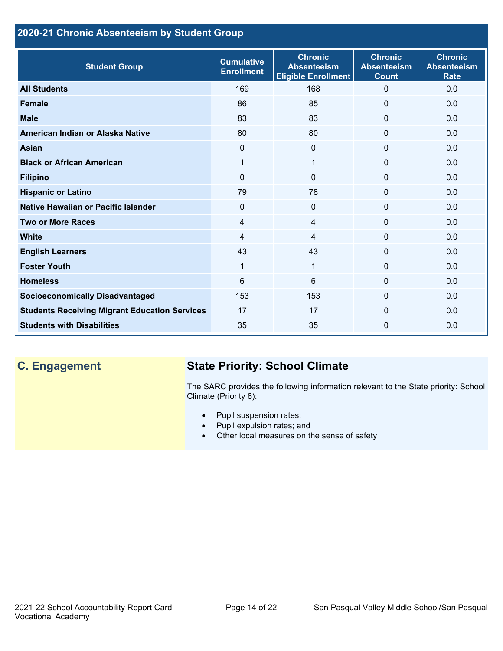## **2020-21 Chronic Absenteeism by Student Group**

| <b>Student Group</b>                                 | <b>Cumulative</b><br><b>Enrollment</b> | <b>Chronic</b><br><b>Absenteeism</b><br><b>Eligible Enrollment</b> | <b>Chronic</b><br><b>Absenteeism</b><br><b>Count</b> | <b>Chronic</b><br><b>Absenteeism</b><br><b>Rate</b> |
|------------------------------------------------------|----------------------------------------|--------------------------------------------------------------------|------------------------------------------------------|-----------------------------------------------------|
| <b>All Students</b>                                  | 169                                    | 168                                                                | $\mathbf 0$                                          | 0.0                                                 |
| <b>Female</b>                                        | 86                                     | 85                                                                 | $\Omega$                                             | 0.0                                                 |
| <b>Male</b>                                          | 83                                     | 83                                                                 | $\mathbf{0}$                                         | 0.0                                                 |
| American Indian or Alaska Native                     | 80                                     | 80                                                                 | $\mathbf 0$                                          | 0.0                                                 |
| Asian                                                | $\mathbf{0}$                           | $\mathbf{0}$                                                       | $\mathbf{0}$                                         | 0.0                                                 |
| <b>Black or African American</b>                     | 1                                      | 1                                                                  | $\mathbf 0$                                          | 0.0                                                 |
| <b>Filipino</b>                                      | $\mathbf{0}$                           | 0                                                                  | $\mathbf 0$                                          | 0.0                                                 |
| <b>Hispanic or Latino</b>                            | 79                                     | 78                                                                 | 0                                                    | 0.0                                                 |
| Native Hawaiian or Pacific Islander                  | $\mathbf 0$                            | $\Omega$                                                           | $\mathbf 0$                                          | 0.0                                                 |
| <b>Two or More Races</b>                             | 4                                      | 4                                                                  | $\mathbf 0$                                          | 0.0                                                 |
| <b>White</b>                                         | $\overline{4}$                         | 4                                                                  | $\Omega$                                             | 0.0                                                 |
| <b>English Learners</b>                              | 43                                     | 43                                                                 | $\Omega$                                             | 0.0                                                 |
| <b>Foster Youth</b>                                  | 1                                      | 1                                                                  | $\Omega$                                             | 0.0                                                 |
| <b>Homeless</b>                                      | 6                                      | 6                                                                  | $\Omega$                                             | 0.0                                                 |
| <b>Socioeconomically Disadvantaged</b>               | 153                                    | 153                                                                | $\Omega$                                             | 0.0                                                 |
| <b>Students Receiving Migrant Education Services</b> | 17                                     | 17                                                                 | $\Omega$                                             | 0.0                                                 |
| <b>Students with Disabilities</b>                    | 35                                     | 35                                                                 | $\mathbf{0}$                                         | 0.0                                                 |

## **C. Engagement State Priority: School Climate**

The SARC provides the following information relevant to the State priority: School Climate (Priority 6):

- Pupil suspension rates;
- Pupil expulsion rates; and
- Other local measures on the sense of safety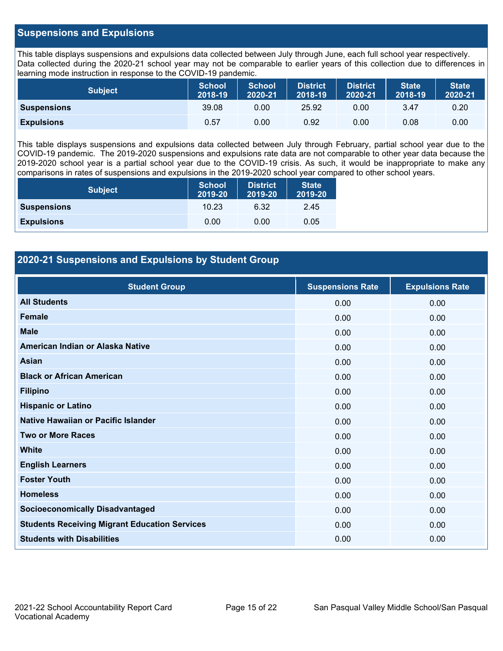#### **Suspensions and Expulsions**

This table displays suspensions and expulsions data collected between July through June, each full school year respectively. Data collected during the 2020-21 school year may not be comparable to earlier years of this collection due to differences in learning mode instruction in response to the COVID-19 pandemic.

| <b>Subject</b>     | <b>School</b><br>2018-19 | <b>School</b><br>2020-21 | <b>District</b><br>2018-19 | <b>District</b><br>2020-21 | <b>State</b><br>2018-19 | <b>State</b><br>2020-21 |
|--------------------|--------------------------|--------------------------|----------------------------|----------------------------|-------------------------|-------------------------|
| <b>Suspensions</b> | 39.08                    | 0.00                     | 25.92                      | 0.00                       | 3.47                    | 0.20                    |
| <b>Expulsions</b>  | 0.57                     | 0.00                     | 0.92                       | 0.00                       | 0.08                    | 0.00                    |

This table displays suspensions and expulsions data collected between July through February, partial school year due to the COVID-19 pandemic. The 2019-2020 suspensions and expulsions rate data are not comparable to other year data because the 2019-2020 school year is a partial school year due to the COVID-19 crisis. As such, it would be inappropriate to make any comparisons in rates of suspensions and expulsions in the 2019-2020 school year compared to other school years.

| <b>Subject</b>     | School<br>2019-20 | <b>District</b><br>2019-20 | <b>State</b><br>2019-20 |
|--------------------|-------------------|----------------------------|-------------------------|
| <b>Suspensions</b> | 10.23             | 6.32                       | 2.45                    |
| <b>Expulsions</b>  | 0.00              | 0.00                       | 0.05                    |

#### **2020-21 Suspensions and Expulsions by Student Group**

| <b>Student Group</b>                                 | <b>Suspensions Rate</b> | <b>Expulsions Rate</b> |
|------------------------------------------------------|-------------------------|------------------------|
| <b>All Students</b>                                  | 0.00                    | 0.00                   |
| <b>Female</b>                                        | 0.00                    | 0.00                   |
| <b>Male</b>                                          | 0.00                    | 0.00                   |
| American Indian or Alaska Native                     | 0.00                    | 0.00                   |
| <b>Asian</b>                                         | 0.00                    | 0.00                   |
| <b>Black or African American</b>                     | 0.00                    | 0.00                   |
| <b>Filipino</b>                                      | 0.00                    | 0.00                   |
| <b>Hispanic or Latino</b>                            | 0.00                    | 0.00                   |
| Native Hawaiian or Pacific Islander                  | 0.00                    | 0.00                   |
| <b>Two or More Races</b>                             | 0.00                    | 0.00                   |
| <b>White</b>                                         | 0.00                    | 0.00                   |
| <b>English Learners</b>                              | 0.00                    | 0.00                   |
| <b>Foster Youth</b>                                  | 0.00                    | 0.00                   |
| <b>Homeless</b>                                      | 0.00                    | 0.00                   |
| <b>Socioeconomically Disadvantaged</b>               | 0.00                    | 0.00                   |
| <b>Students Receiving Migrant Education Services</b> | 0.00                    | 0.00                   |
| <b>Students with Disabilities</b>                    | 0.00                    | 0.00                   |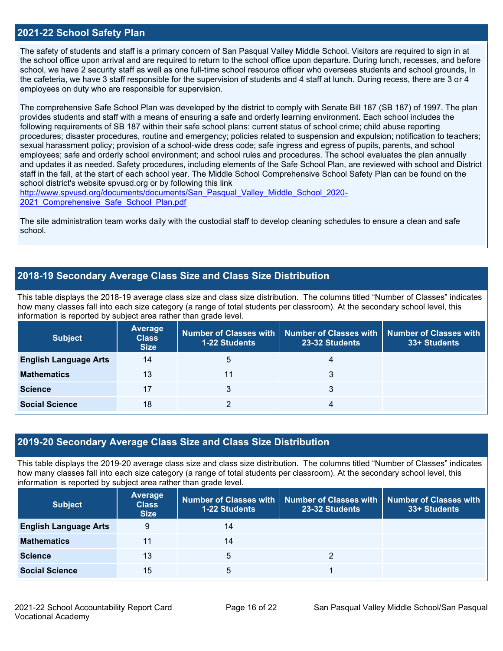#### **2021-22 School Safety Plan**

The safety of students and staff is a primary concern of San Pasqual Valley Middle School. Visitors are required to sign in at the school office upon arrival and are required to return to the school office upon departure. During lunch, recesses, and before school, we have 2 security staff as well as one full-time school resource officer who oversees students and school grounds, In the cafeteria, we have 3 staff responsible for the supervision of students and 4 staff at lunch. During recess, there are 3 or 4 employees on duty who are responsible for supervision.

The comprehensive Safe School Plan was developed by the district to comply with Senate Bill 187 (SB 187) of 1997. The plan provides students and staff with a means of ensuring a safe and orderly learning environment. Each school includes the following requirements of SB 187 within their safe school plans: current status of school crime; child abuse reporting procedures; disaster procedures, routine and emergency; policies related to suspension and expulsion; notification to teachers; sexual harassment policy; provision of a school-wide dress code; safe ingress and egress of pupils, parents, and school employees; safe and orderly school environment; and school rules and procedures. The school evaluates the plan annually and updates it as needed. Safety procedures, including elements of the Safe School Plan, are reviewed with school and District staff in the fall, at the start of each school year. The Middle School Comprehensive School Safety Plan can be found on the school district's website spvusd.org or by following this link

[http://www.spvusd.org/documents/documents/San\\_Pasqual\\_Valley\\_Middle\\_School\\_2020-](http://www.spvusd.org/documents/documents/San_Pasqual_Valley_Middle_School_2020-2021_Comprehensive_Safe_School_Plan.pdf) [2021\\_Comprehensive\\_Safe\\_School\\_Plan.pdf](http://www.spvusd.org/documents/documents/San_Pasqual_Valley_Middle_School_2020-2021_Comprehensive_Safe_School_Plan.pdf)

The site administration team works daily with the custodial staff to develop cleaning schedules to ensure a clean and safe school.

#### **2018-19 Secondary Average Class Size and Class Size Distribution**

This table displays the 2018-19 average class size and class size distribution. The columns titled "Number of Classes" indicates how many classes fall into each size category (a range of total students per classroom). At the secondary school level, this information is reported by subject area rather than grade level.

| <b>Subject</b>               | <b>Average</b><br><b>Class</b><br><b>Size</b> | <b>1-22 Students</b> | Number of Classes with   Number of Classes with  <br>23-32 Students | Number of Classes with<br>33+ Students |
|------------------------------|-----------------------------------------------|----------------------|---------------------------------------------------------------------|----------------------------------------|
| <b>English Language Arts</b> | 14                                            | 5                    | 4                                                                   |                                        |
| <b>Mathematics</b>           | 13                                            | 11                   | 3                                                                   |                                        |
| <b>Science</b>               | 17                                            |                      | 3                                                                   |                                        |
| <b>Social Science</b>        | 18                                            |                      | 4                                                                   |                                        |

#### **2019-20 Secondary Average Class Size and Class Size Distribution**

This table displays the 2019-20 average class size and class size distribution. The columns titled "Number of Classes" indicates how many classes fall into each size category (a range of total students per classroom). At the secondary school level, this information is reported by subject area rather than grade level.

| <b>Subject</b>               | <b>Average</b><br><b>Class</b><br><b>Size</b> | <b>1-22 Students</b> | Number of Classes with   Number of Classes with<br>23-32 Students | Number of Classes with<br>33+ Students |
|------------------------------|-----------------------------------------------|----------------------|-------------------------------------------------------------------|----------------------------------------|
| <b>English Language Arts</b> | 9                                             | 14                   |                                                                   |                                        |
| <b>Mathematics</b>           | 11                                            | 14                   |                                                                   |                                        |
| <b>Science</b>               | 13                                            | 5                    |                                                                   |                                        |
| <b>Social Science</b>        | 15                                            | 5                    |                                                                   |                                        |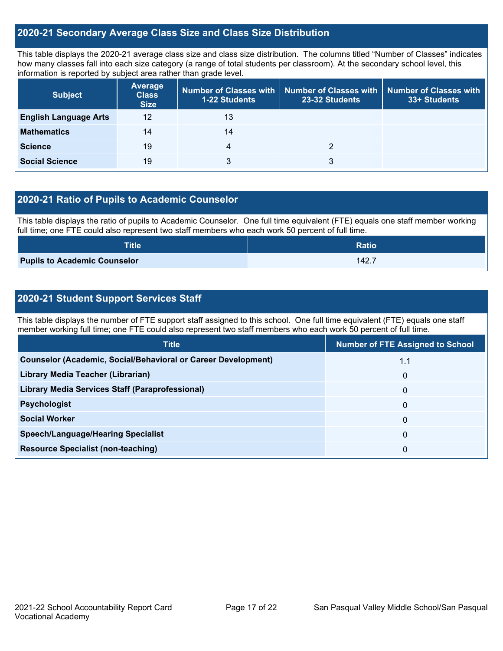#### **2020-21 Secondary Average Class Size and Class Size Distribution**

This table displays the 2020-21 average class size and class size distribution. The columns titled "Number of Classes" indicates how many classes fall into each size category (a range of total students per classroom). At the secondary school level, this information is reported by subject area rather than grade level.

| <b>Subject</b>               | <b>Average</b><br><b>Class</b><br><b>Size</b> | 1-22 Students | Number of Classes with   Number of Classes with   Number of Classes with<br>23-32 Students | 33+ Students |
|------------------------------|-----------------------------------------------|---------------|--------------------------------------------------------------------------------------------|--------------|
| <b>English Language Arts</b> | 12                                            | 13            |                                                                                            |              |
| <b>Mathematics</b>           | 14                                            | 14            |                                                                                            |              |
| <b>Science</b>               | 19                                            | 4             |                                                                                            |              |
| <b>Social Science</b>        | 19                                            | 3             | 3                                                                                          |              |

#### **2020-21 Ratio of Pupils to Academic Counselor**

This table displays the ratio of pupils to Academic Counselor. One full time equivalent (FTE) equals one staff member working full time; one FTE could also represent two staff members who each work 50 percent of full time.

| <b>Title</b>                        | <b>Ratio</b> |
|-------------------------------------|--------------|
| <b>Pupils to Academic Counselor</b> | 142.7        |

### **2020-21 Student Support Services Staff**

This table displays the number of FTE support staff assigned to this school. One full time equivalent (FTE) equals one staff member working full time; one FTE could also represent two staff members who each work 50 percent of full time.

| <b>Number of FTE Assigned to School</b> |
|-----------------------------------------|
| 1.1                                     |
| $\mathbf{0}$                            |
| $\mathbf{0}$                            |
| $\mathbf{0}$                            |
| 0                                       |
| $\mathbf{0}$                            |
| 0                                       |
|                                         |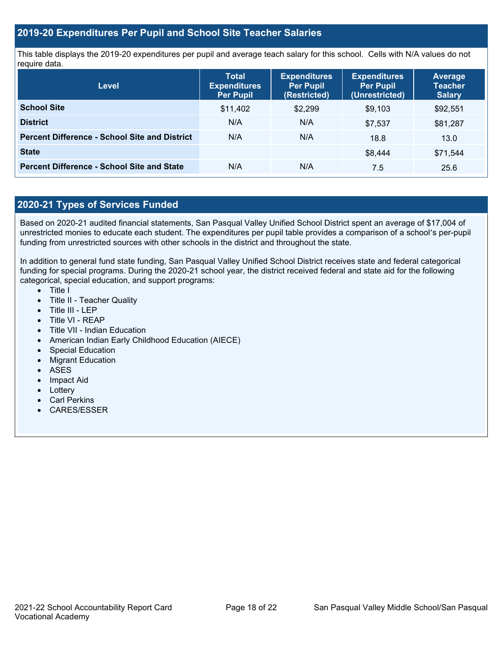#### **2019-20 Expenditures Per Pupil and School Site Teacher Salaries**

This table displays the 2019-20 expenditures per pupil and average teach salary for this school. Cells with N/A values do not require data.

| <b>Level</b>                                         | <b>Total</b><br><b>Expenditures</b><br><b>Per Pupil</b> | <b>Expenditures</b><br><b>Per Pupil</b><br>(Restricted) | <b>Expenditures</b><br><b>Per Pupil</b><br>(Unrestricted) | <b>Average</b><br><b>Teacher</b><br><b>Salary</b> |
|------------------------------------------------------|---------------------------------------------------------|---------------------------------------------------------|-----------------------------------------------------------|---------------------------------------------------|
| <b>School Site</b>                                   | \$11,402                                                | \$2,299                                                 | \$9,103                                                   | \$92,551                                          |
| <b>District</b>                                      | N/A                                                     | N/A                                                     | \$7,537                                                   | \$81,287                                          |
| <b>Percent Difference - School Site and District</b> | N/A                                                     | N/A                                                     | 18.8                                                      | 13.0                                              |
| <b>State</b>                                         |                                                         |                                                         | \$8,444                                                   | \$71.544                                          |
| <b>Percent Difference - School Site and State</b>    | N/A                                                     | N/A                                                     | 7.5                                                       | 25.6                                              |

### **2020-21 Types of Services Funded**

Based on 2020-21 audited financial statements, San Pasqual Valley Unified School District spent an average of \$17,004 of unrestricted monies to educate each student. The expenditures per pupil table provides a comparison of a school's per-pupil funding from unrestricted sources with other schools in the district and throughout the state.

In addition to general fund state funding, San Pasqual Valley Unified School District receives state and federal categorical funding for special programs. During the 2020-21 school year, the district received federal and state aid for the following categorical, special education, and support programs:

- Title I
- Title II Teacher Quality
- Title III LEP
- Title VI REAP
- Title VII Indian Education
- American Indian Early Childhood Education (AIECE)
- Special Education
- Migrant Education
- ASES
- Impact Aid
- Lottery
- Carl Perkins
- CARES/ESSER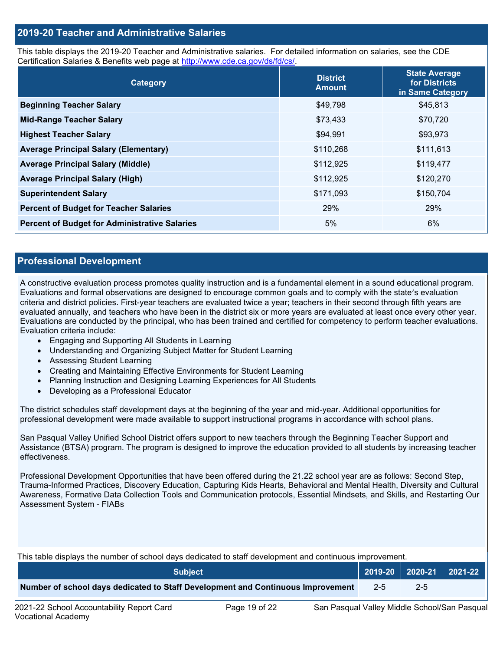#### **2019-20 Teacher and Administrative Salaries**

This table displays the 2019-20 Teacher and Administrative salaries. For detailed information on salaries, see the CDE Certification Salaries & Benefits web page at [http://www.cde.ca.gov/ds/fd/cs/.](http://www.cde.ca.gov/ds/fd/cs/)

| Category                                             | <b>District</b><br><b>Amount</b> | <b>State Average</b><br>for Districts<br>in Same Category |
|------------------------------------------------------|----------------------------------|-----------------------------------------------------------|
| <b>Beginning Teacher Salary</b>                      | \$49,798                         | \$45,813                                                  |
| <b>Mid-Range Teacher Salary</b>                      | \$73,433                         | \$70,720                                                  |
| <b>Highest Teacher Salary</b>                        | \$94,991                         | \$93,973                                                  |
| <b>Average Principal Salary (Elementary)</b>         | \$110,268                        | \$111,613                                                 |
| <b>Average Principal Salary (Middle)</b>             | \$112,925                        | \$119,477                                                 |
| <b>Average Principal Salary (High)</b>               | \$112,925                        | \$120,270                                                 |
| <b>Superintendent Salary</b>                         | \$171,093                        | \$150,704                                                 |
| <b>Percent of Budget for Teacher Salaries</b>        | 29%                              | 29%                                                       |
| <b>Percent of Budget for Administrative Salaries</b> | 5%                               | 6%                                                        |

#### **Professional Development**

A constructive evaluation process promotes quality instruction and is a fundamental element in a sound educational program. Evaluations and formal observations are designed to encourage common goals and to comply with the state's evaluation criteria and district policies. First-year teachers are evaluated twice a year; teachers in their second through fifth years are evaluated annually, and teachers who have been in the district six or more years are evaluated at least once every other year. Evaluations are conducted by the principal, who has been trained and certified for competency to perform teacher evaluations. Evaluation criteria include:

- Engaging and Supporting All Students in Learning
- Understanding and Organizing Subject Matter for Student Learning
- Assessing Student Learning
- Creating and Maintaining Effective Environments for Student Learning
- Planning Instruction and Designing Learning Experiences for All Students
- Developing as a Professional Educator

The district schedules staff development days at the beginning of the year and mid-year. Additional opportunities for professional development were made available to support instructional programs in accordance with school plans.

San Pasqual Valley Unified School District offers support to new teachers through the Beginning Teacher Support and Assistance (BTSA) program. The program is designed to improve the education provided to all students by increasing teacher effectiveness.

Professional Development Opportunities that have been offered during the 21.22 school year are as follows: Second Step, Trauma-Informed Practices, Discovery Education, Capturing Kids Hearts, Behavioral and Mental Health, Diversity and Cultural Awareness, Formative Data Collection Tools and Communication protocols, Essential Mindsets, and Skills, and Restarting Our Assessment System - FIABs

This table displays the number of school days dedicated to staff development and continuous improvement.

| <b>Subject</b>                                                                  |         | $\vert$ 2019-20 2020-21 2021-22 |  |
|---------------------------------------------------------------------------------|---------|---------------------------------|--|
| Number of school days dedicated to Staff Development and Continuous Improvement | $2 - 5$ | $2 - 5$                         |  |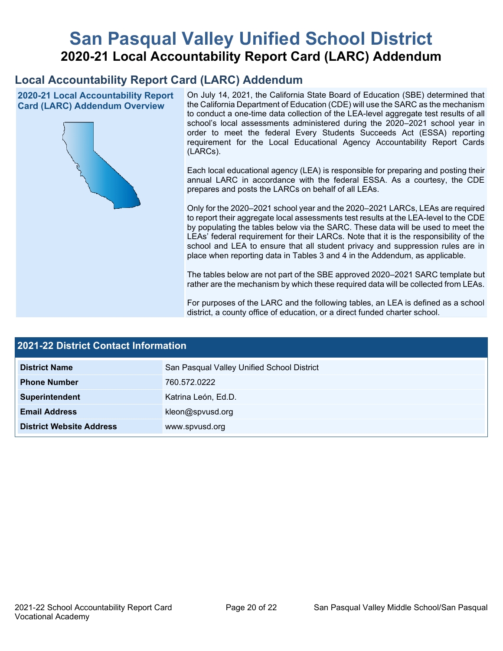# **San Pasqual Valley Unified School District 2020-21 Local Accountability Report Card (LARC) Addendum**

## **Local Accountability Report Card (LARC) Addendum**

**2020-21 Local Accountability Report Card (LARC) Addendum Overview**



On July 14, 2021, the California State Board of Education (SBE) determined that the California Department of Education (CDE) will use the SARC as the mechanism to conduct a one-time data collection of the LEA-level aggregate test results of all school's local assessments administered during the 2020–2021 school year in order to meet the federal Every Students Succeeds Act (ESSA) reporting requirement for the Local Educational Agency Accountability Report Cards (LARCs).

Each local educational agency (LEA) is responsible for preparing and posting their annual LARC in accordance with the federal ESSA. As a courtesy, the CDE prepares and posts the LARCs on behalf of all LEAs.

Only for the 2020–2021 school year and the 2020–2021 LARCs, LEAs are required to report their aggregate local assessments test results at the LEA-level to the CDE by populating the tables below via the SARC. These data will be used to meet the LEAs' federal requirement for their LARCs. Note that it is the responsibility of the school and LEA to ensure that all student privacy and suppression rules are in place when reporting data in Tables 3 and 4 in the Addendum, as applicable.

The tables below are not part of the SBE approved 2020–2021 SARC template but rather are the mechanism by which these required data will be collected from LEAs.

For purposes of the LARC and the following tables, an LEA is defined as a school district, a county office of education, or a direct funded charter school.

| <b>2021-22 District Contact Information</b> |                                            |  |  |  |
|---------------------------------------------|--------------------------------------------|--|--|--|
| <b>District Name</b>                        | San Pasqual Valley Unified School District |  |  |  |
| <b>Phone Number</b>                         | 760.572.0222                               |  |  |  |
| Superintendent                              | Katrina León, Ed.D.                        |  |  |  |
| <b>Email Address</b>                        | kleon@spvusd.org                           |  |  |  |
| <b>District Website Address</b>             | www.spvusd.org                             |  |  |  |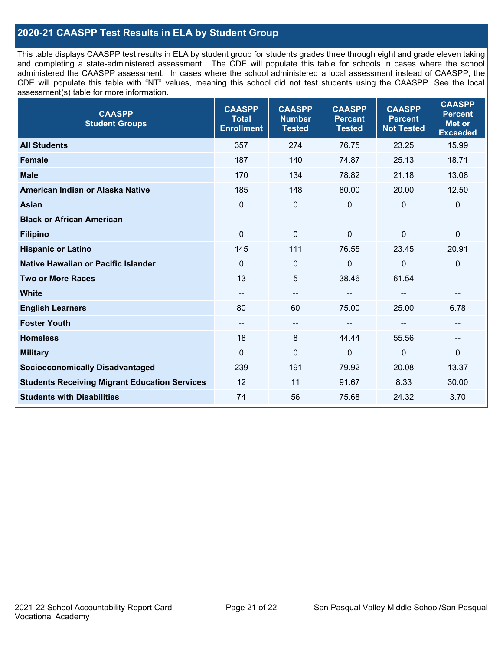### **2020-21 CAASPP Test Results in ELA by Student Group**

This table displays CAASPP test results in ELA by student group for students grades three through eight and grade eleven taking and completing a state-administered assessment. The CDE will populate this table for schools in cases where the school administered the CAASPP assessment. In cases where the school administered a local assessment instead of CAASPP, the CDE will populate this table with "NT" values, meaning this school did not test students using the CAASPP. See the local assessment(s) table for more information.

| <b>CAASPP</b><br><b>Student Groups</b>               | <b>CAASPP</b><br><b>Total</b><br><b>Enrollment</b> | <b>CAASPP</b><br><b>Number</b><br><b>Tested</b> | <b>CAASPP</b><br><b>Percent</b><br><b>Tested</b> | <b>CAASPP</b><br><b>Percent</b><br><b>Not Tested</b> | <b>CAASPP</b><br><b>Percent</b><br>Met or<br><b>Exceeded</b> |
|------------------------------------------------------|----------------------------------------------------|-------------------------------------------------|--------------------------------------------------|------------------------------------------------------|--------------------------------------------------------------|
| <b>All Students</b>                                  | 357                                                | 274                                             | 76.75                                            | 23.25                                                | 15.99                                                        |
| <b>Female</b>                                        | 187                                                | 140                                             | 74.87                                            | 25.13                                                | 18.71                                                        |
| <b>Male</b>                                          | 170                                                | 134                                             | 78.82                                            | 21.18                                                | 13.08                                                        |
| American Indian or Alaska Native                     | 185                                                | 148                                             | 80.00                                            | 20.00                                                | 12.50                                                        |
| <b>Asian</b>                                         | $\mathbf{0}$                                       | $\mathbf 0$                                     | $\mathbf 0$                                      | $\Omega$                                             | 0                                                            |
| <b>Black or African American</b>                     | --                                                 | $\sim$                                          | --                                               | --                                                   | --                                                           |
| <b>Filipino</b>                                      | $\Omega$                                           | $\mathbf 0$                                     | $\Omega$                                         | $\Omega$                                             | 0                                                            |
| <b>Hispanic or Latino</b>                            | 145                                                | 111                                             | 76.55                                            | 23.45                                                | 20.91                                                        |
| Native Hawaiian or Pacific Islander                  | $\mathbf 0$                                        | $\mathbf 0$                                     | 0                                                | $\overline{0}$                                       | 0                                                            |
| <b>Two or More Races</b>                             | 13                                                 | 5                                               | 38.46                                            | 61.54                                                | --                                                           |
| <b>White</b>                                         | --                                                 | $\overline{\phantom{m}}$                        |                                                  |                                                      | --                                                           |
| <b>English Learners</b>                              | 80                                                 | 60                                              | 75.00                                            | 25.00                                                | 6.78                                                         |
| <b>Foster Youth</b>                                  | --                                                 | $\overline{\phantom{a}}$                        |                                                  |                                                      | --                                                           |
| <b>Homeless</b>                                      | 18                                                 | 8                                               | 44.44                                            | 55.56                                                | --                                                           |
| <b>Military</b>                                      | $\Omega$                                           | $\mathbf 0$                                     | $\mathbf 0$                                      | $\mathbf{0}$                                         | 0                                                            |
| <b>Socioeconomically Disadvantaged</b>               | 239                                                | 191                                             | 79.92                                            | 20.08                                                | 13.37                                                        |
| <b>Students Receiving Migrant Education Services</b> | 12                                                 | 11                                              | 91.67                                            | 8.33                                                 | 30.00                                                        |
| <b>Students with Disabilities</b>                    | 74                                                 | 56                                              | 75.68                                            | 24.32                                                | 3.70                                                         |